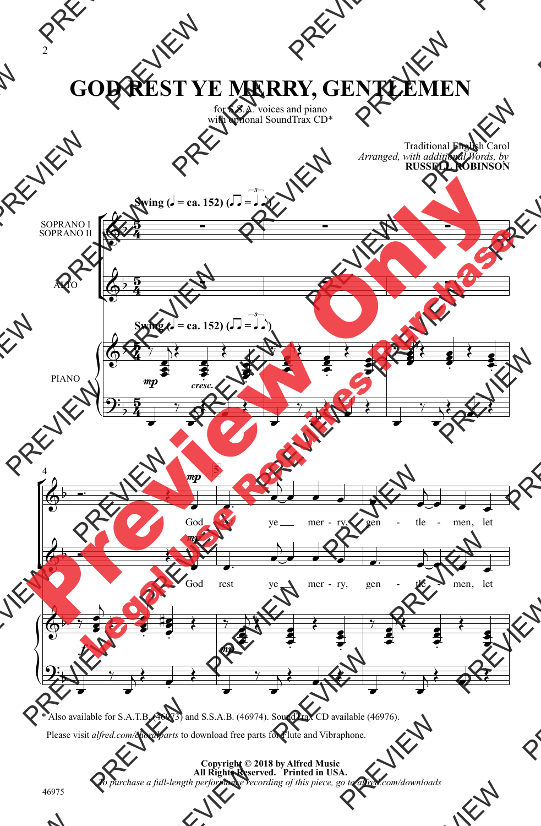## **GOD REST YE MERRY, GENTLEMEN**

for S.S.A. voices and piano with optional SoundTrax CD\*

Traditional English Carol

**RUSSELL ROBINSON**

*Arranged, with additional Words, by*

 $\left\{\rule{0pt}{12pt}\right\}$  $\mathsf{K}$ Ľ  $\left\{\begin{matrix} 1 \\ 0 \\ 0 \end{matrix}\right\}$ ŕ Ļ **Swing (** $\sqrt{ }$  = ca. 152) ( $\sqrt{ }$  =  $\frac{1}{2}$   $\sqrt{ }$ ) **Swing (** $\sqrt{ }$  **= ca. 152) (** $\sqrt{ }$ K SOPRANO I SOPRANO II ALTO PIANO 4 **5** 5  $\frac{5}{4}$ 5  $\frac{5}{4}$ 5  $\frac{5}{4}$ 5  $\frac{5}{4}$  $\left\langle \phi \right\rangle _{4}^{5}$  $\begin{array}{ccc} \bullet & \bullet & \bullet & \bullet \end{array}$  $\overline{\Phi^{\flat}}$  $\mathbf{\mathcal{Y}}^{\mathbf{:}}_{\flat}$ mp *cresc.*  $\overline{\mathbb{Q}^{\flat}}$  $G$ oć mp ye <u>e</u> mer - ry, gen - tle - men, let  $\overline{\mathbf{G}}$ God mp rest ye mer - ry, gen - tle - men, let  $\Phi$  $\mathbf{\mathcal{Y}}^{\mathbf{:}}_{\flat}$ f mp  $\frac{1}{7}$ Ī  $\frac{1}{3}$  $\overline{\bullet}$  $\overline{\mathcal{X}}$ Į  $\frac{1}{2}$  $\overline{\bullet}$  $\ddot{\phantom{a}}$ ≹  $\overline{\bullet}$  $\overset{\bullet}{\bm{s}}$  $\frac{1}{2}$  $\ddot{\cdot}$  $\frac{1}{7}$ ì.  $\mathbf{r}$  $\frac{1}{2}$ X Į  $\bullet$  $\overline{\bullet}$  $\overline{\phantom{a}}$ ≹ ă **S**  $\frac{1}{2}$ i P.  $\ddot{\bm{s}}$ Į  $\overline{\phantom{a}}$  $\frac{2}{5}$ ţ  $\overline{\bullet}$   $\overline{\bullet}$  $\overline{\bullet}$ Ī  $\frac{4}{1}$  $\overline{\phantom{a}}$ **The Communication** Č  $\frac{1}{2}$  $\overline{\phantom{a}}$  <u> De Station de la propriété de la propriété de la propriété de la propriété de la propriété de la propriété d</u>  $\overline{\mathbf{A}}$  $\overrightarrow{a}$   $\overrightarrow{a}$   $\overrightarrow{a}$   $\overrightarrow{a}$  $\overline{1}$  $\overrightarrow{ }$ STATISTICS.  $\overline{A}$  $\overrightarrow{a}$   $\overrightarrow{a}$   $\overrightarrow{a}$   $\overrightarrow{a}$  $\overline{1}$  $\overrightarrow{ }$  $\frac{1}{2}$  $\bullet$  $\frac{1}{2}$  $\overline{a}$ 7 J J  $\frac{1}{2}$  $\overline{\mathbf{S}}$  $\overrightarrow{\bullet}$ Ī  $\frac{1}{18}$  } }  $\frac{2}{3}$  $\overline{\bullet}$  $\overline{\bullet}$  $\frac{1}{2}$ Į  $\overline{\mathbf{z}}$  $\overline{\bullet}$ Ī ≹ Ĭ  $\overline{\bullet}$  $\overline{\bullet}$ Ī  $\frac{1}{7}$ Į  $\overline{\mathbf{z}}$  $\overline{\bullet}$  $\overrightarrow{y}$  $\ddot{\bullet}$  $\overline{\mathbf{z}}$  $\overline{\bullet}$  $\overline{\phantom{a}}$ ≹ ĕ  $\overline{\bullet}$  $\overline{\bullet}$  $\ddot{\phantom{a}}$  $\overline{\phantom{a}}$  $\overline{\phantom{a}}$   $\overline{\phantom{a}}$   $\overline{\phantom{a}}$  **COD REST YE MERRY, GEN**<br>
for S.S.A. voices and piano<br>
with optional Sound Trax CD-<br>
SOPRANO I<br>
SOPRANO I<br>
SOPRANO PREVIEW PREVIEW PREVIEW PREVIEW PREVIEW PREVIEW PREVIEW PREVIEW PREVIEW PREVIEW PREVIEW PREVIEW PREVIEW PR FRAME REVIEW PREVIEW PREVIEW PREVIEW PREVIEW PREVIEW PREVIEW PREVIEW PREVIEW PREVIEW PREVIEW PREVIEW PREVIEW PREVIEW PREVIEW PREVIEW PREVIEW PREVIEW PREVIEW PREVIEW PREVIEW PREVIEW PREVIEW PREVIEW PREVIEW PREVIEW PREVIEW COD REST YE MERRY, GENTLEMEN COD REST YE MERRY, GENTLEMEN COD REST YE MERRY, GENTLEMEN COD REST YE MERRY, GENTLEMEN PREVIEW PREVIEW PREVIEW PREVIEW PREVIEW PREVIEW PREVIEW PREVIEW PREVIEW PREVIEW PREVIEW PREVIEW PREVIEW PREVIEW PREVIEW PREVIEW PREVIEW PREVIEW PREVIEW PREVIEW PREVIEW PREVIEW PREVIEW PREVIEW PREVIEW PREVIEW PREVIEW PREVIE  $\frac{p_{\text{max}}}{p} = \frac{p_{\text{max}}}{p} = \frac{p_{\text{max}}}{p} = \frac{p_{\text{max}}}{p} = \frac{p_{\text{max}}}{p} = \frac{p_{\text{max}}}{p} = \frac{p_{\text{max}}}{p} = \frac{p_{\text{max}}}{p} = \frac{p_{\text{max}}}{p} = \frac{p_{\text{max}}}{p} = \frac{p_{\text{max}}}{p} = \frac{p_{\text{max}}}{p} = \frac{p_{\text{max}}}{p} = \frac{p_{\text{max}}}{p} = \frac{p_{\text{max}}}{p} = \frac{p_{\text{max}}$ PREVIEW PREVIEW PREVIEW PREVIEW PREVIEW PREVIEW PREVIEW Preview Preview Preview Preview Preview Preview Preview Preview Preview Preview Preview Preview Preview Preview Preview Preview Preview Preview Preview Preview Preview Preview Preview Preview Preview Preview Preview Previ PREVIEW PREVIEW PREVIEW PREVIEW PREVIEW PREVIEW PREVIEW PREVIEW PREVIEW PREVIEW PREVIEW PREVIEW PREVIEW PREVIEW PREVIEW PREVIEW PREVIEW PREVIEW PREVIEW PREVIEW PREVIEW PREVIEW PREVIEW PREVIEW PREVIEW PREVIEW PREVIEW PREVI Preview Only 19 and 200 to 200 to 200 to 200 to 200 to 200 to 200 to 200 to 200 to 200 to 200 to 200 to 200 to 200 to 200 to 200 to 200 to 200 to 200 to 200 to 200 to 200 to 200 to 200 to 200 to 200 to 200 to 200 to 200 to Legal Use Requires Purchase

\* Also available for S.A.T.B. (46973) and S.S.A.B. (46974). SoundTrax CD available (46976).

Please visit *alfred.com/choralparts* to download free parts for Flute and Vibraphone.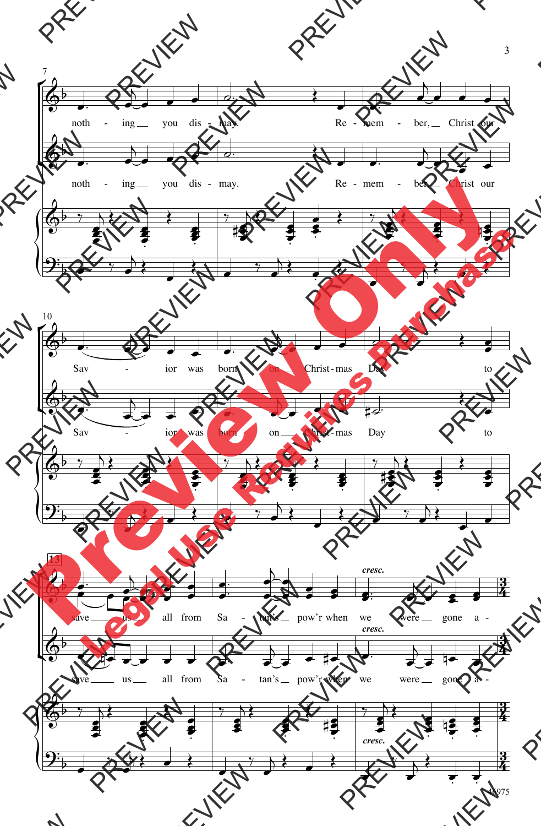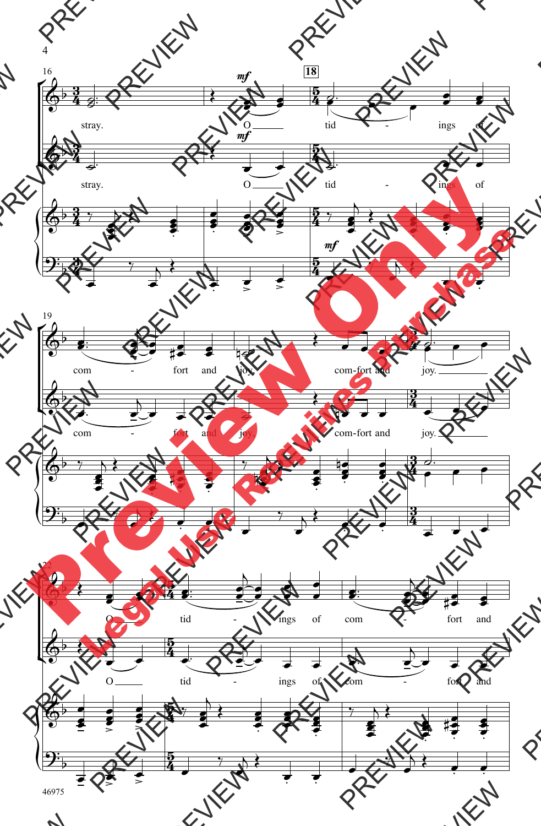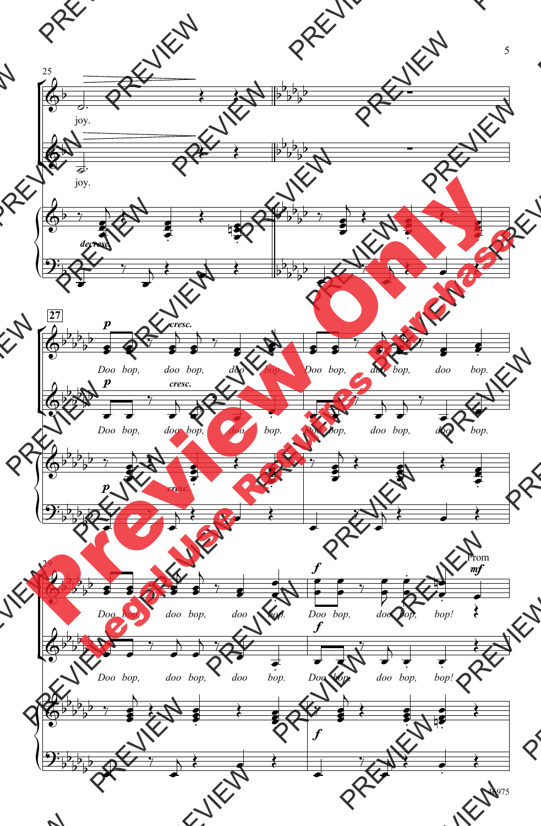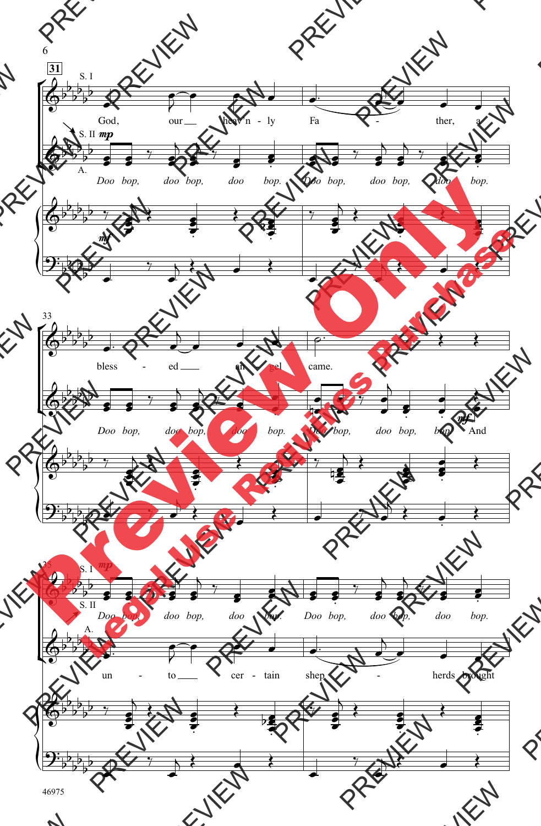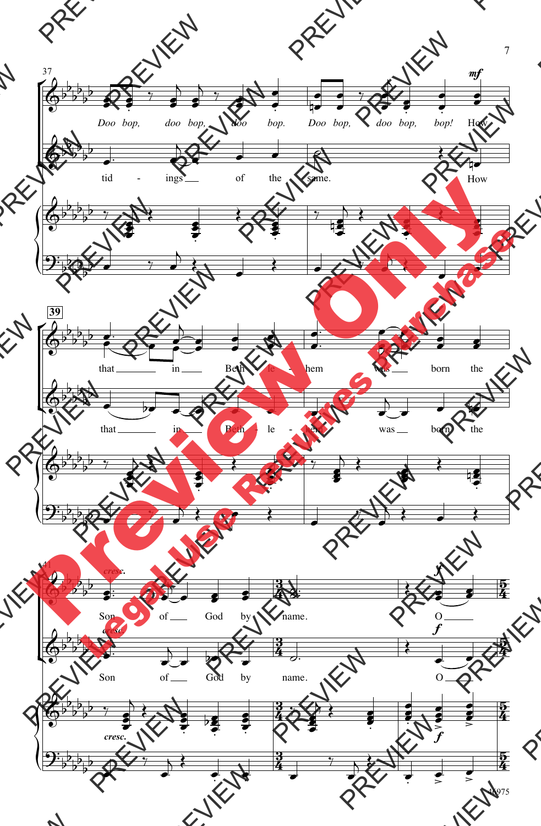

<sup>7</sup>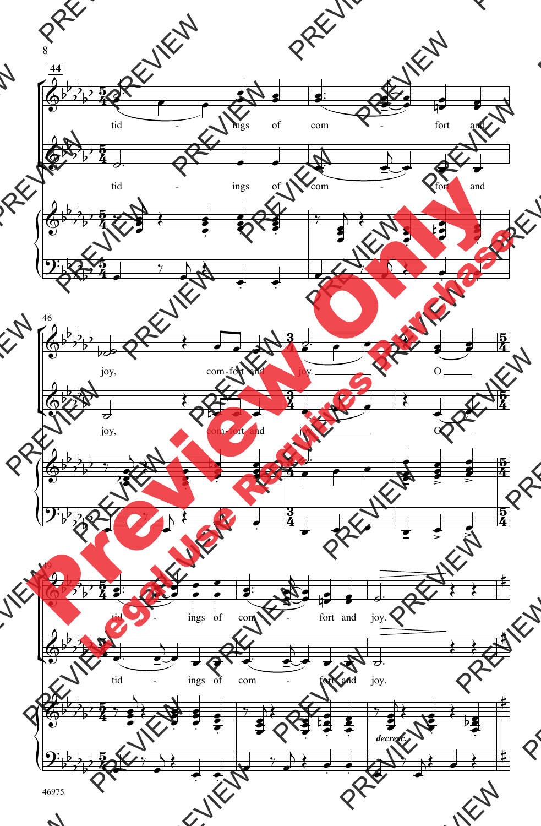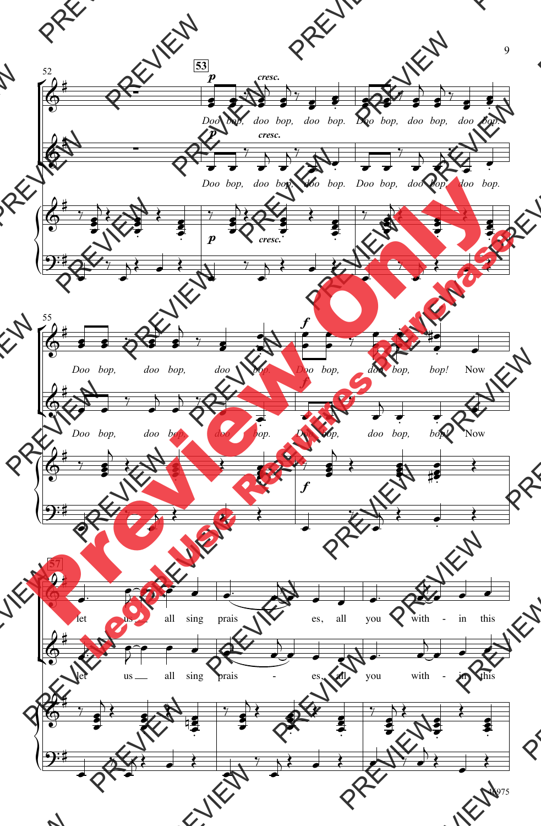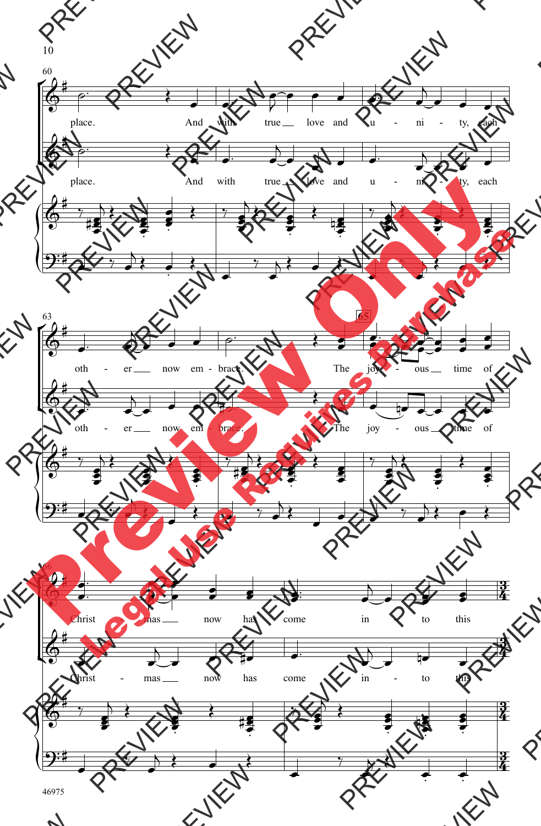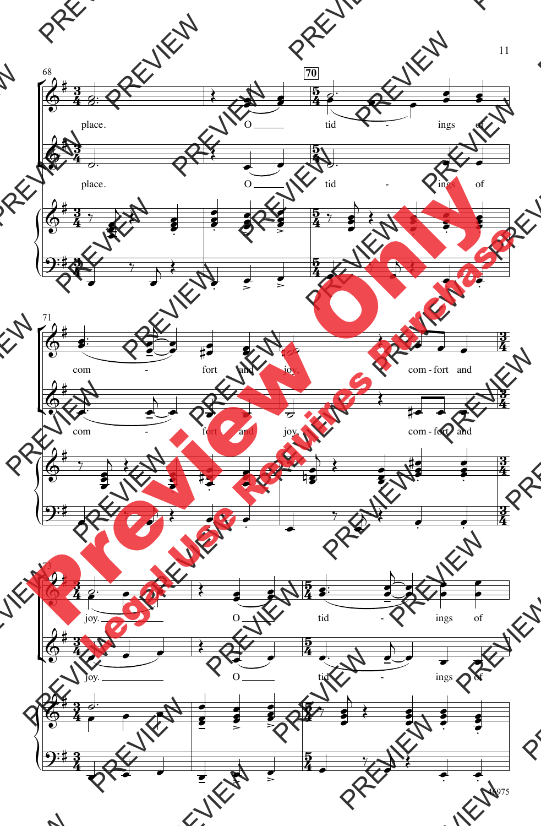